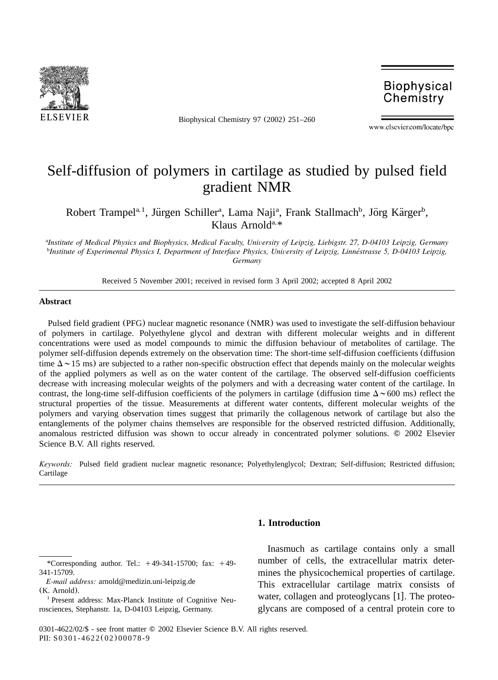

Biophysical Chemistry 97 (2002) 251–260

**Biophysical** Chemistry

www.elsevier.com/locate/bpc

# Self-diffusion of polymers in cartilage as studied by pulsed field gradient NMR

Robert Trampel<sup>a, 1</sup>, Jürgen Schiller<sup>a</sup>, Lama Naji<sup>a</sup>, Frank Stallmach<sup>b</sup>, Jörg Kärger<sup>b</sup>, Klaus Arnold<sup>a, \*</sup>

*Institute of Medical Physics and Biophysics, Medical Faculty, University of Leipzig, Liebigstr. 27, D-04103 Leipzig, Germany* <sup>a</sup> <sup>*b*</sup>Institute of Experimental Physics I, Department of Interface Physics, University of Leipzig, Linnéstrasse 5, D-04103 Leipzig, *Germany*

Received 5 November 2001; received in revised form 3 April 2002; accepted 8 April 2002

#### **Abstract**

Pulsed field gradient (PFG) nuclear magnetic resonance (NMR) was used to investigate the self-diffusion behaviour of polymers in cartilage. Polyethylene glycol and dextran with different molecular weights and in different concentrations were used as model compounds to mimic the diffusion behaviour of metabolites of cartilage. The polymer self-diffusion depends extremely on the observation time: The short-time self-diffusion coefficients (diffusion time  $\Delta \sim 15$  ms) are subjected to a rather non-specific obstruction effect that depends mainly on the molecular weights of the applied polymers as well as on the water content of the cartilage. The observed self-diffusion coefficients decrease with increasing molecular weights of the polymers and with a decreasing water content of the cartilage. In contrast, the long-time self-diffusion coefficients of the polymers in cartilage (diffusion time  $\Delta \sim 600$  ms) reflect the structural properties of the tissue. Measurements at different water contents, different molecular weights of the polymers and varying observation times suggest that primarily the collagenous network of cartilage but also the entanglements of the polymer chains themselves are responsible for the observed restricted diffusion. Additionally, anomalous restricted diffusion was shown to occur already in concentrated polymer solutions. © 2002 Elsevier Science B.V. All rights reserved.

*Keywords:* Pulsed field gradient nuclear magnetic resonance; Polyethylenglycol; Dextran; Self-diffusion; Restricted diffusion; Cartilage

## **1. Introduction**

Inasmuch as cartilage contains only a small number of cells, the extracellular matrix determines the physicochemical properties of cartilage. This extracellular cartilage matrix consists of water, collagen and proteoglycans  $[1]$ . The proteoglycans are composed of a central protein core to

<sup>\*</sup>Corresponding author. Tel.:  $+49-341-15700$ ; fax:  $+49-$ 341-15709.

*E-mail address:* arnold@medizin.uni-leipzig.de (K. Arnold).

<sup>&</sup>lt;sup>1</sup> Present address: Max-Planck Institute of Cognitive Neurosciences, Stephanstr. 1a, D-04103 Leipzig, Germany.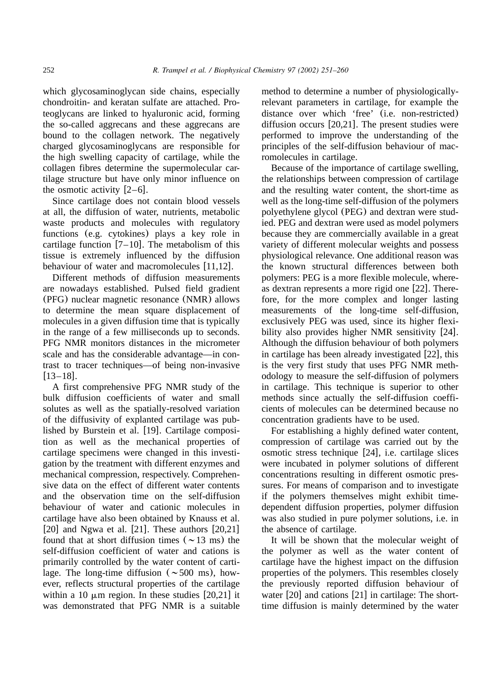which glycosaminoglycan side chains, especially chondroitin- and keratan sulfate are attached. Proteoglycans are linked to hyaluronic acid, forming the so-called aggrecans and these aggrecans are bound to the collagen network. The negatively charged glycosaminoglycans are responsible for the high swelling capacity of cartilage, while the collagen fibres determine the supermolecular cartilage structure but have only minor influence on the osmotic activity  $[2-6]$ .

Since cartilage does not contain blood vessels at all, the diffusion of water, nutrients, metabolic waste products and molecules with regulatory functions (e.g. cytokines) plays a key role in cartilage function  $[7–10]$ . The metabolism of this tissue is extremely influenced by the diffusion behaviour of water and macromolecules  $[11,12]$ .

Different methods of diffusion measurements are nowadays established. Pulsed field gradient (PFG) nuclear magnetic resonance (NMR) allows to determine the mean square displacement of molecules in a given diffusion time that is typically in the range of a few milliseconds up to seconds. PFG NMR monitors distances in the micrometer scale and has the considerable advantage—in contrast to tracer techniques—of being non-invasive  $[13-18]$ .

A first comprehensive PFG NMR study of the bulk diffusion coefficients of water and small solutes as well as the spatially-resolved variation of the diffusivity of explanted cartilage was published by Burstein et al.  $[19]$ . Cartilage composition as well as the mechanical properties of cartilage specimens were changed in this investigation by the treatment with different enzymes and mechanical compression, respectively. Comprehensive data on the effect of different water contents and the observation time on the self-diffusion behaviour of water and cationic molecules in cartilage have also been obtained by Knauss et al. [20] and Ngwa et al. [21]. These authors  $[20,21]$ found that at short diffusion times ( $\sim$ 13 ms) the self-diffusion coefficient of water and cations is primarily controlled by the water content of cartilage. The long-time diffusion ( $\sim$  500 ms), however, reflects structural properties of the cartilage within a 10  $\mu$ m region. In these studies [20,21] it was demonstrated that PFG NMR is a suitable

method to determine a number of physiologicallyrelevant parameters in cartilage, for example the distance over which 'free' (i.e. non-restricted) diffusion occurs  $[20.21]$ . The present studies were performed to improve the understanding of the principles of the self-diffusion behaviour of macromolecules in cartilage.

Because of the importance of cartilage swelling, the relationships between compression of cartilage and the resulting water content, the short-time as well as the long-time self-diffusion of the polymers polyethylene glycol (PEG) and dextran were studied. PEG and dextran were used as model polymers because they are commercially available in a great variety of different molecular weights and possess physiological relevance. One additional reason was the known structural differences between both polymers: PEG is a more flexible molecule, whereas dextran represents a more rigid one  $[22]$ . Therefore, for the more complex and longer lasting measurements of the long-time self-diffusion, exclusively PEG was used, since its higher flexibility also provides higher NMR sensitivity  $[24]$ . Although the diffusion behaviour of both polymers in cartilage has been already investigated  $[22]$ , this is the very first study that uses PFG NMR methodology to measure the self-diffusion of polymers in cartilage. This technique is superior to other methods since actually the self-diffusion coefficients of molecules can be determined because no concentration gradients have to be used.

For establishing a highly defined water content, compression of cartilage was carried out by the osmotic stress technique  $[24]$ , i.e. cartilage slices were incubated in polymer solutions of different concentrations resulting in different osmotic pressures. For means of comparison and to investigate if the polymers themselves might exhibit timedependent diffusion properties, polymer diffusion was also studied in pure polymer solutions, i.e. in the absence of cartilage.

It will be shown that the molecular weight of the polymer as well as the water content of cartilage have the highest impact on the diffusion properties of the polymers. This resembles closely the previously reported diffusion behaviour of water  $[20]$  and cations  $[21]$  in cartilage: The shorttime diffusion is mainly determined by the water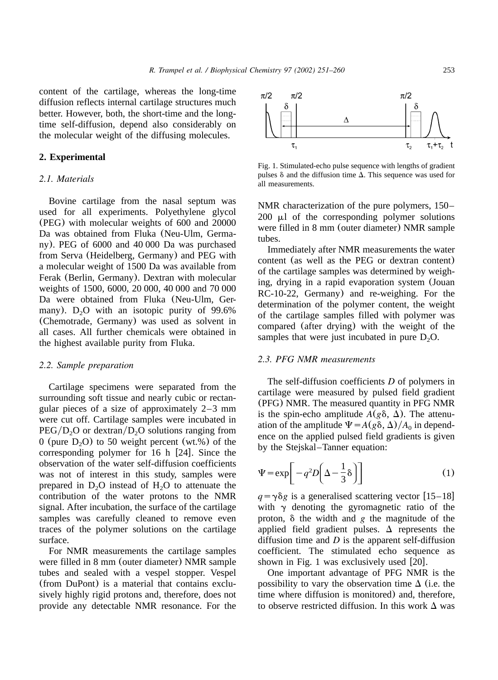content of the cartilage, whereas the long-time diffusion reflects internal cartilage structures much better. However, both, the short-time and the longtime self-diffusion, depend also considerably on the molecular weight of the diffusing molecules.

# **2. Experimental**

#### *2.1. Materials*

Bovine cartilage from the nasal septum was used for all experiments. Polyethylene glycol (PEG) with molecular weights of 600 and 20000 Da was obtained from Fluka (Neu-Ulm, Germany). PEG of 6000 and 40 000 Da was purchased from Serva (Heidelberg, Germany) and PEG with a molecular weight of 1500 Da was available from Ferak (Berlin, Germany). Dextran with molecular weights of 1500, 6000, 20 000, 40 000 and 70 000 Da were obtained from Fluka (Neu-Ulm, Germany). D<sub>2</sub>O with an isotopic purity of  $99.6\%$ (Chemotrade, Germany) was used as solvent in all cases. All further chemicals were obtained in the highest available purity from Fluka.

#### *2.2. Sample preparation*

Cartilage specimens were separated from the surrounding soft tissue and nearly cubic or rectangular pieces of a size of approximately 2–3 mm were cut off. Cartilage samples were incubated in  $PEG/D_2O$  or dextran/ $D_2O$  solutions ranging from 0 (pure  $D_2O$ ) to 50 weight percent (wt.%) of the corresponding polymer for  $16$  h  $[24]$ . Since the observation of the water self-diffusion coefficients was not of interest in this study, samples were prepared in  $D_2O$  instead of  $H_2O$  to attenuate the contribution of the water protons to the NMR signal. After incubation, the surface of the cartilage samples was carefully cleaned to remove even traces of the polymer solutions on the cartilage surface.

For NMR measurements the cartilage samples were filled in 8 mm (outer diameter) NMR sample tubes and sealed with a vespel stopper. Vespel (from DuPont) is a material that contains exclusively highly rigid protons and, therefore, does not provide any detectable NMR resonance. For the



Fig. 1. Stimulated-echo pulse sequence with lengths of gradient pulses  $\delta$  and the diffusion time  $\Delta$ . This sequence was used for all measurements.

NMR characterization of the pure polymers, 150–  $200 \mu l$  of the corresponding polymer solutions were filled in 8 mm (outer diameter) NMR sample tubes.

Immediately after NMR measurements the water content (as well as the PEG or dextran content) of the cartilage samples was determined by weighing, drying in a rapid evaporation system (Jouan RC-10-22, Germany) and re-weighing. For the determination of the polymer content, the weight of the cartilage samples filled with polymer was compared (after drying) with the weight of the samples that were just incubated in pure  $D<sub>2</sub>O$ .

# *2.3. PFG NMR measurements*

The self-diffusion coefficients *D* of polymers in cartilage were measured by pulsed field gradient (PFG) NMR. The measured quantity in PFG NMR is the spin-echo amplitude  $A(g\delta, \Delta)$ . The attenuation of the amplitude  $\Psi = A(g\delta, \Delta)/A_0$  in dependence on the applied pulsed field gradients is given by the Stejskal–Tanner equation:

$$
\Psi = \exp\left[-q^2 D\left(\Delta - \frac{1}{3}\delta\right)\right]
$$
 (1)

 $q = \gamma \delta g$  is a generalised scattering vector [15–18] with  $\gamma$  denoting the gyromagnetic ratio of the proton,  $\delta$  the width and  $g$  the magnitude of the applied field gradient pulses.  $\Delta$  represents the diffusion time and *D* is the apparent self-diffusion coefficient. The stimulated echo sequence as shown in Fig. 1 was exclusively used  $[20]$ .

One important advantage of PFG NMR is the possibility to vary the observation time  $\Delta$  (i.e. the time where diffusion is monitored) and, therefore, to observe restricted diffusion. In this work  $\Delta$  was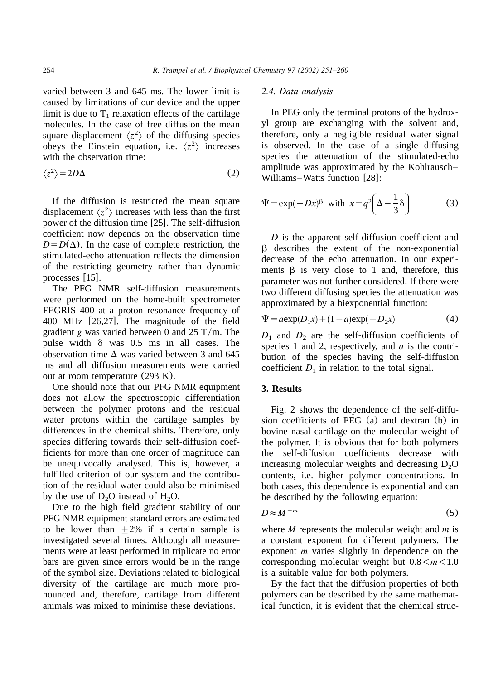varied between 3 and 645 ms. The lower limit is caused by limitations of our device and the upper limit is due to  $T_1$  relaxation effects of the cartilage molecules. In the case of free diffusion the mean square displacement  $\langle z^2 \rangle$  of the diffusing species obeys the Einstein equation, i.e.  $\langle z^2 \rangle$  increases with the observation time:

$$
\langle z^2 \rangle = 2D\Delta \tag{2}
$$

If the diffusion is restricted the mean square displacement  $\langle z^2 \rangle$  increases with less than the first power of the diffusion time  $[25]$ . The self-diffusion coefficient now depends on the observation time  $D = D(\Delta)$ . In the case of complete restriction, the stimulated-echo attenuation reflects the dimension of the restricting geometry rather than dynamic processes [15].

The PFG NMR self-diffusion measurements were performed on the home-built spectrometer FEGRIS 400 at a proton resonance frequency of 400 MHz  $[26,27]$ . The magnitude of the field gradient *g* was varied between 0 and 25 T/m. The pulse width  $\delta$  was 0.5 ms in all cases. The observation time  $\Delta$  was varied between 3 and 645 ms and all diffusion measurements were carried out at room temperature (293 K).

One should note that our PFG NMR equipment does not allow the spectroscopic differentiation between the polymer protons and the residual water protons within the cartilage samples by differences in the chemical shifts. Therefore, only species differing towards their self-diffusion coefficients for more than one order of magnitude can be unequivocally analysed. This is, however, a fulfilled criterion of our system and the contribution of the residual water could also be minimised by the use of  $D_2O$  instead of  $H_2O$ .

Due to the high field gradient stability of our PFG NMR equipment standard errors are estimated to be lower than  $+2\%$  if a certain sample is investigated several times. Although all measurements were at least performed in triplicate no error bars are given since errors would be in the range of the symbol size. Deviations related to biological diversity of the cartilage are much more pronounced and, therefore, cartilage from different animals was mixed to minimise these deviations.

#### *2.4. Data analysis*

In PEG only the terminal protons of the hydroxyl group are exchanging with the solvent and, therefore, only a negligible residual water signal is observed. In the case of a single diffusing species the attenuation of the stimulated-echo amplitude was approximated by the Kohlrausch– Williams–Watts function [28]:

$$
\Psi = \exp(-Dx)^{\beta} \text{ with } x = q^2 \left(\Delta - \frac{1}{3}\delta\right) \tag{3}
$$

*D* is the apparent self-diffusion coefficient and  $\beta$  describes the extent of the non-exponential decrease of the echo attenuation. In our experiments  $\beta$  is very close to 1 and, therefore, this parameter was not further considered. If there were two different diffusing species the attenuation was approximated by a biexponential function:

$$
\Psi = a \exp(D_1 x) + (1 - a) \exp(-D_2 x) \tag{4}
$$

 $D_1$  and  $D_2$  are the self-diffusion coefficients of species 1 and 2, respectively, and *a* is the contribution of the species having the self-diffusion coefficient  $D_1$  in relation to the total signal.

### **3. Results**

Fig. 2 shows the dependence of the self-diffusion coefficients of PEG (a) and dextran (b) in bovine nasal cartilage on the molecular weight of the polymer. It is obvious that for both polymers the self-diffusion coefficients decrease with increasing molecular weights and decreasing  $D_2O$ contents, i.e. higher polymer concentrations. In both cases, this dependence is exponential and can be described by the following equation:

$$
D \approx M^{-m} \tag{5}
$$

where *M* represents the molecular weight and *m* is a constant exponent for different polymers. The exponent *m* varies slightly in dependence on the corresponding molecular weight but  $0.8 < m < 1.0$ is a suitable value for both polymers.

By the fact that the diffusion properties of both polymers can be described by the same mathematical function, it is evident that the chemical struc-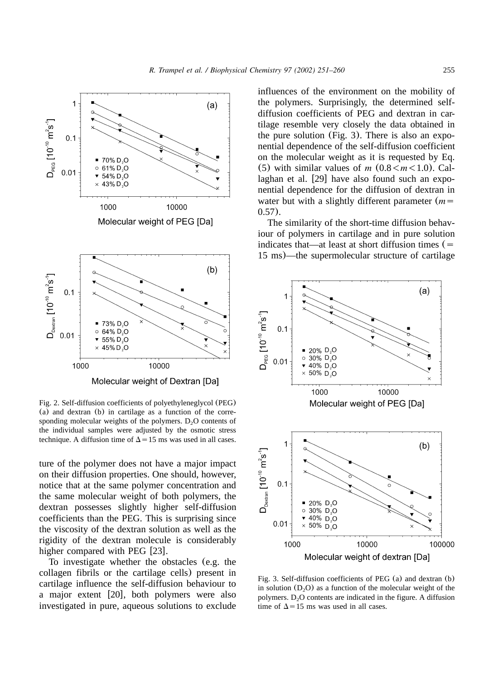

Molecular weight of Dextran [Da]

Fig. 2. Self-diffusion coefficients of polyethyleneglycol (PEG) (a) and dextran (b) in cartilage as a function of the corresponding molecular weights of the polymers.  $D_2O$  contents of the individual samples were adjusted by the osmotic stress technique. A diffusion time of  $\Delta = 15$  ms was used in all cases.

ture of the polymer does not have a major impact on their diffusion properties. One should, however, notice that at the same polymer concentration and the same molecular weight of both polymers, the dextran possesses slightly higher self-diffusion coefficients than the PEG. This is surprising since the viscosity of the dextran solution as well as the rigidity of the dextran molecule is considerably higher compared with PEG [23].

To investigate whether the obstacles (e.g. the collagen fibrils or the cartilage cells) present in cartilage influence the self-diffusion behaviour to a major extent  $[20]$ , both polymers were also investigated in pure, aqueous solutions to exclude influences of the environment on the mobility of the polymers. Surprisingly, the determined selfdiffusion coefficients of PEG and dextran in cartilage resemble very closely the data obtained in the pure solution (Fig. 3). There is also an exponential dependence of the self-diffusion coefficient on the molecular weight as it is requested by Eq. (5) with similar values of *m*  $(0.8 < m < 1.0)$ . Callaghan et al.  $[29]$  have also found such an exponential dependence for the diffusion of dextran in water but with a slightly different parameter  $(m =$ 0.57).

The similarity of the short-time diffusion behaviour of polymers in cartilage and in pure solution indicates that—at least at short diffusion times  $(=$ 15 ms)—the supermolecular structure of cartilage



Fig. 3. Self-diffusion coefficients of PEG (a) and dextran (b) in solution  $(D_2O)$  as a function of the molecular weight of the polymers.  $D_2O$  contents are indicated in the figure. A diffusion time of  $\Delta$ =15 ms was used in all cases.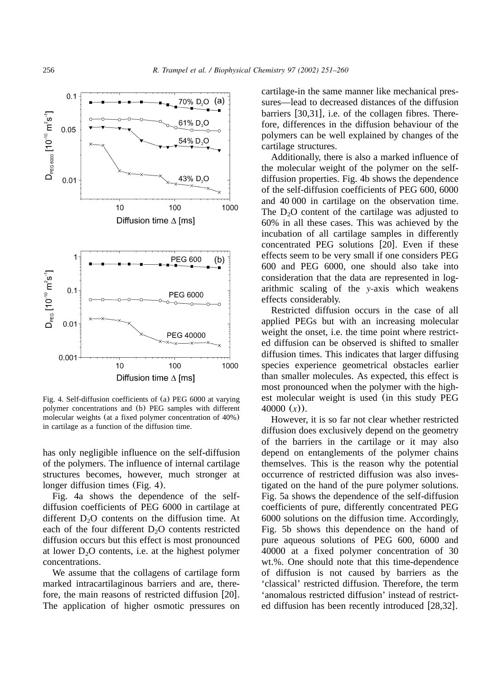

Fig. 4. Self-diffusion coefficients of (a) PEG 6000 at varying polymer concentrations and (b) PEG samples with different molecular weights (at a fixed polymer concentration of 40%) in cartilage as a function of the diffusion time.

has only negligible influence on the self-diffusion of the polymers. The influence of internal cartilage structures becomes, however, much stronger at longer diffusion times (Fig. 4).

Fig. 4a shows the dependence of the selfdiffusion coefficients of PEG 6000 in cartilage at different  $D_2O$  contents on the diffusion time. At each of the four different  $D<sub>2</sub>O$  contents restricted diffusion occurs but this effect is most pronounced at lower  $D_2O$  contents, i.e. at the highest polymer concentrations.

We assume that the collagens of cartilage form marked intracartilaginous barriers and are, therefore, the main reasons of restricted diffusion  $[20]$ . The application of higher osmotic pressures on cartilage-in the same manner like mechanical pressures—lead to decreased distances of the diffusion barriers  $[30,31]$ , i.e. of the collagen fibres. Therefore, differences in the diffusion behaviour of the polymers can be well explained by changes of the cartilage structures.

Additionally, there is also a marked influence of the molecular weight of the polymer on the selfdiffusion properties. Fig. 4b shows the dependence of the self-diffusion coefficients of PEG 600, 6000 and 40 000 in cartilage on the observation time. The  $D<sub>2</sub>O$  content of the cartilage was adjusted to 60% in all these cases. This was achieved by the incubation of all cartilage samples in differently concentrated PEG solutions  $[20]$ . Even if these effects seem to be very small if one considers PEG 600 and PEG 6000, one should also take into consideration that the data are represented in logarithmic scaling of the *y-*axis which weakens effects considerably.

Restricted diffusion occurs in the case of all applied PEGs but with an increasing molecular weight the onset, i.e. the time point where restricted diffusion can be observed is shifted to smaller diffusion times. This indicates that larger diffusing species experience geometrical obstacles earlier than smaller molecules. As expected, this effect is most pronounced when the polymer with the highest molecular weight is used (in this study PEG 40000 (*x*)).

However, it is so far not clear whether restricted diffusion does exclusively depend on the geometry of the barriers in the cartilage or it may also depend on entanglements of the polymer chains themselves. This is the reason why the potential occurrence of restricted diffusion was also investigated on the hand of the pure polymer solutions. Fig. 5a shows the dependence of the self-diffusion coefficients of pure, differently concentrated PEG 6000 solutions on the diffusion time. Accordingly, Fig. 5b shows this dependence on the hand of pure aqueous solutions of PEG 600, 6000 and 40000 at a fixed polymer concentration of 30 wt.%. One should note that this time-dependence of diffusion is not caused by barriers as the 'classical' restricted diffusion. Therefore, the term 'anomalous restricted diffusion' instead of restricted diffusion has been recently introduced  $[28,32]$ .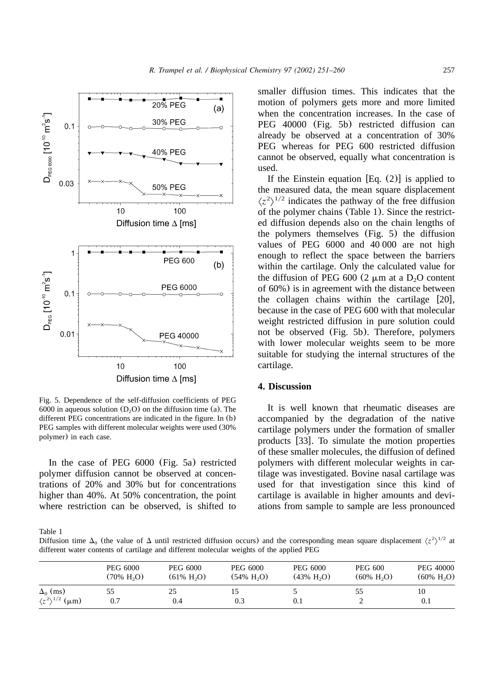

Fig. 5. Dependence of the self-diffusion coefficients of PEG 6000 in aqueous solution  $(D_2O)$  on the diffusion time (a). The different PEG concentrations are indicated in the figure. In (b) PEG samples with different molecular weights were used (30% polymer) in each case.

In the case of PEG 6000 (Fig. 5a) restricted polymer diffusion cannot be observed at concentrations of 20% and 30% but for concentrations higher than 40%. At 50% concentration, the point where restriction can be observed, is shifted to

smaller diffusion times. This indicates that the motion of polymers gets more and more limited when the concentration increases. In the case of PEG 40000 (Fig. 5b) restricted diffusion can already be observed at a concentration of 30% PEG whereas for PEG 600 restricted diffusion cannot be observed, equally what concentration is used.

If the Einstein equation  $[Eq. (2)]$  is applied to the measured data, the mean square displacement  $\langle z^2 \rangle^{1/2}$  indicates the pathway of the free diffusion of the polymer chains (Table 1). Since the restricted diffusion depends also on the chain lengths of the polymers themselves (Fig. 5) the diffusion values of PEG 6000 and 40 000 are not high enough to reflect the space between the barriers within the cartilage. Only the calculated value for the diffusion of PEG 600 (2  $\mu$ m at a D<sub>2</sub>O content of 60%) is in agreement with the distance between the collagen chains within the cartilage  $[20]$ , because in the case of PEG 600 with that molecular weight restricted diffusion in pure solution could not be observed (Fig. 5b). Therefore, polymers with lower molecular weights seem to be more suitable for studying the internal structures of the cartilage.

## **4. Discussion**

It is well known that rheumatic diseases are accompanied by the degradation of the native cartilage polymers under the formation of smaller products [33]. To simulate the motion properties of these smaller molecules, the diffusion of defined polymers with different molecular weights in cartilage was investigated. Bovine nasal cartilage was used for that investigation since this kind of cartilage is available in higher amounts and deviations from sample to sample are less pronounced

Table 1

Diffusion time  $\Delta_0$  (the value of  $\Delta$  until restricted diffusion occurs) and the corresponding mean square displacement  $\langle z^2 \rangle^{1/2}$  at different water contents of cartilage and different molecular weights of the applied PEG

|                                                     | PEG 6000                     | <b>PEG 6000</b>              | PEG 6000                       | <b>PEG 6000</b>             | <b>PEG 600</b>               | PEG 40000                    |
|-----------------------------------------------------|------------------------------|------------------------------|--------------------------------|-----------------------------|------------------------------|------------------------------|
|                                                     | $(70\% \text{ H}, \text{O})$ | $(61\% \text{ H}, \text{O})$ | $(54\% \text{ H}_{2}\text{O})$ | $(43\% \text{ H},\text{O})$ | $(60\% \text{ H}, \text{O})$ | $(60\% \text{ H}, \text{O})$ |
| $\Delta_0$ (ms)<br>$\langle z^2 \rangle^{1/2}$ (µm) | CC<br>0.7                    | 25<br>0.4                    | 0.3                            | 0.1                         | ככ                           | 10<br>0.1                    |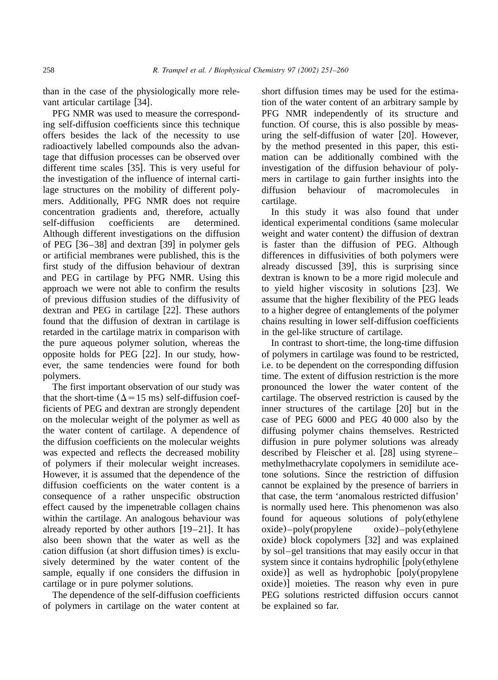than in the case of the physiologically more relevant articular cartilage [34].

PFG NMR was used to measure the corresponding self-diffusion coefficients since this technique offers besides the lack of the necessity to use radioactively labelled compounds also the advantage that diffusion processes can be observed over different time scales  $[35]$ . This is very useful for the investigation of the influence of internal cartilage structures on the mobility of different polymers. Additionally, PFG NMR does not require concentration gradients and, therefore, actually self-diffusion coefficients are determined. Although different investigations on the diffusion of PEG  $[36–38]$  and dextran  $[39]$  in polymer gels or artificial membranes were published, this is the first study of the diffusion behaviour of dextran and PEG in cartilage by PFG NMR. Using this approach we were not able to confirm the results of previous diffusion studies of the diffusivity of dextran and PEG in cartilage  $[22]$ . These authors found that the diffusion of dextran in cartilage is retarded in the cartilage matrix in comparison with the pure aqueous polymer solution, whereas the opposite holds for PEG  $[22]$ . In our study, however, the same tendencies were found for both polymers.

The first important observation of our study was that the short-time ( $\Delta$ =15 ms) self-diffusion coefficients of PEG and dextran are strongly dependent on the molecular weight of the polymer as well as the water content of cartilage. A dependence of the diffusion coefficients on the molecular weights was expected and reflects the decreased mobility of polymers if their molecular weight increases. However, it is assumed that the dependence of the diffusion coefficients on the water content is a consequence of a rather unspecific obstruction effect caused by the impenetrable collagen chains within the cartilage. An analogous behaviour was already reported by other authors  $[19–21]$ . It has also been shown that the water as well as the cation diffusion (at short diffusion times) is exclusively determined by the water content of the sample, equally if one considers the diffusion in cartilage or in pure polymer solutions.

The dependence of the self-diffusion coefficients of polymers in cartilage on the water content at short diffusion times may be used for the estimation of the water content of an arbitrary sample by PFG NMR independently of its structure and function. Of course, this is also possible by measuring the self-diffusion of water  $[20]$ . However, by the method presented in this paper, this estimation can be additionally combined with the investigation of the diffusion behaviour of polymers in cartilage to gain further insights into the diffusion behaviour of macromolecules in cartilage.

In this study it was also found that under identical experimental conditions (same molecular weight and water content) the diffusion of dextran is faster than the diffusion of PEG. Although differences in diffusivities of both polymers were already discussed  $[39]$ , this is surprising since dextran is known to be a more rigid molecule and to yield higher viscosity in solutions  $[23]$ . We assume that the higher flexibility of the PEG leads to a higher degree of entanglements of the polymer chains resulting in lower self-diffusion coefficients in the gel-like structure of cartilage.

In contrast to short-time, the long-time diffusion of polymers in cartilage was found to be restricted, i.e. to be dependent on the corresponding diffusion time. The extent of diffusion restriction is the more pronounced the lower the water content of the cartilage. The observed restriction is caused by the inner structures of the cartilage  $[20]$  but in the case of PEG 6000 and PEG 40 000 also by the diffusing polymer chains themselves. Restricted diffusion in pure polymer solutions was already described by Fleischer et al.  $[28]$  using styrene– methylmethacrylate copolymers in semidilute acetone solutions. Since the restriction of diffusion cannot be explained by the presence of barriers in that case, the term 'anomalous restricted diffusion' is normally used here. This phenomenon was also found for aqueous solutions of poly(ethylene oxide)–poly(propylene oxide)–poly(ethylene  $\alpha$ ide) block copolymers [32] and was explained by sol–gel transitions that may easily occur in that system since it contains hydrophilic [poly(ethylene  $\alpha$ ide) as well as hydrophobic  $\alpha$  poly(propylene  $(x)$  moieties. The reason why even in pure PEG solutions restricted diffusion occurs cannot be explained so far.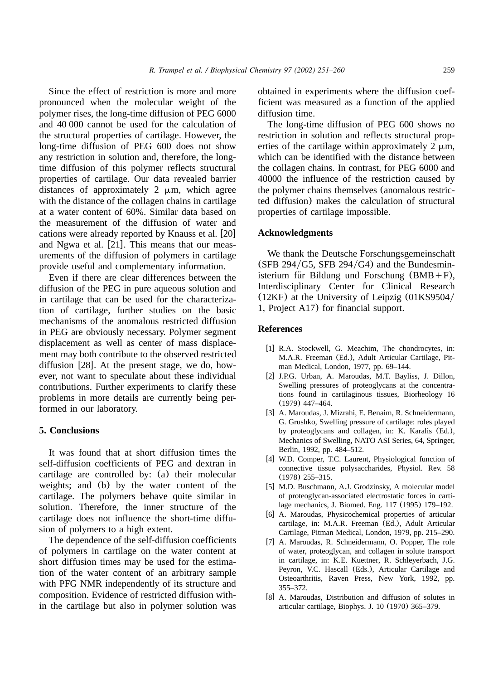Since the effect of restriction is more and more pronounced when the molecular weight of the polymer rises, the long-time diffusion of PEG 6000 and 40 000 cannot be used for the calculation of the structural properties of cartilage. However, the long-time diffusion of PEG 600 does not show any restriction in solution and, therefore, the longtime diffusion of this polymer reflects structural properties of cartilage. Our data revealed barrier distances of approximately  $2 \mu m$ , which agree with the distance of the collagen chains in cartilage at a water content of 60%. Similar data based on the measurement of the diffusion of water and cations were already reported by Knauss et al. [20] and Ngwa et al.  $[21]$ . This means that our measurements of the diffusion of polymers in cartilage provide useful and complementary information.

Even if there are clear differences between the diffusion of the PEG in pure aqueous solution and in cartilage that can be used for the characterization of cartilage, further studies on the basic mechanisms of the anomalous restricted diffusion in PEG are obviously necessary. Polymer segment displacement as well as center of mass displacement may both contribute to the observed restricted diffusion  $[28]$ . At the present stage, we do, however, not want to speculate about these individual contributions. Further experiments to clarify these problems in more details are currently being performed in our laboratory.

#### **5. Conclusions**

It was found that at short diffusion times the self-diffusion coefficients of PEG and dextran in cartilage are controlled by: (a) their molecular weights; and (b) by the water content of the cartilage. The polymers behave quite similar in solution. Therefore, the inner structure of the cartilage does not influence the short-time diffusion of polymers to a high extent.

The dependence of the self-diffusion coefficients of polymers in cartilage on the water content at short diffusion times may be used for the estimation of the water content of an arbitrary sample with PFG NMR independently of its structure and composition. Evidence of restricted diffusion within the cartilage but also in polymer solution was

obtained in experiments where the diffusion coefficient was measured as a function of the applied diffusion time.

The long-time diffusion of PEG 600 shows no restriction in solution and reflects structural properties of the cartilage within approximately  $2 \mu m$ . which can be identified with the distance between the collagen chains. In contrast, for PEG 6000 and 40000 the influence of the restriction caused by the polymer chains themselves (anomalous restricted diffusion) makes the calculation of structural properties of cartilage impossible.

#### **Acknowledgments**

We thank the Deutsche Forschungsgemeinschaft (SFB  $294/G5$ , SFB  $294/G4$ ) and the Bundesministerium für Bildung und Forschung  $(BMB+F)$ , Interdisciplinary Center for Clinical Research  $(12KF)$  at the University of Leipzig  $(01KS9504/$ 1, Project A17) for financial support.

#### **References**

- [1] R.A. Stockwell, G. Meachim, The chondrocytes, in: M.A.R. Freeman (Ed.), Adult Articular Cartilage, Pitman Medical, London, 1977, pp. 69–144.
- [2] J.P.G. Urban, A. Maroudas, M.T. Bayliss, J. Dillon, Swelling pressures of proteoglycans at the concentrations found in cartilaginous tissues, Biorheology 16 (1979) 447–464.
- [3] A. Maroudas, J. Mizrahi, E. Benaim, R. Schneidermann, G. Grushko, Swelling pressure of cartilage: roles played by proteoglycans and collagen, in: K. Karalis (Ed.), Mechanics of Swelling, NATO ASI Series, 64, Springer, Berlin, 1992, pp. 484–512.
- [4] W.D. Comper, T.C. Laurent, Physiological function of connective tissue polysaccharides, Physiol. Rev. 58 (1978) 255–315.
- [5] M.D. Buschmann, A.J. Grodzinsky, A molecular model of proteoglycan-associated electrostatic forces in cartilage mechanics, J. Biomed. Eng. 117 (1995) 179–192.
- [6] A. Maroudas, Physicochemical properties of articular cartilage, in: M.A.R. Freeman (Ed.), Adult Articular Cartilage, Pitman Medical, London, 1979, pp. 215–290.
- [7] A. Maroudas, R. Schneidermann, O. Popper, The role of water, proteoglycan, and collagen in solute transport in cartilage, in: K.E. Kuettner, R. Schleyerbach, J.G. Peyron, V.C. Hascall (Eds.), Articular Cartilage and Osteoarthritis, Raven Press, New York, 1992, pp. 355–372.
- [8] A. Maroudas, Distribution and diffusion of solutes in articular cartilage, Biophys. J. 10 (1970) 365–379.